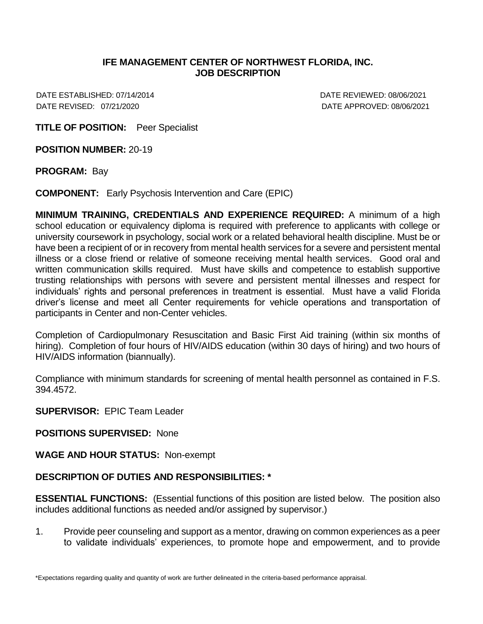## **IFE MANAGEMENT CENTER OF NORTHWEST FLORIDA, INC. JOB DESCRIPTION**

DATE ESTABLISHED: 07/14/2014 DATE REVIEWED: 08/06/2021 DATE REVISED: 07/21/2020 DATE APPROVED: 08/06/2021

**TITLE OF POSITION:** Peer Specialist

**POSITION NUMBER:** 20-19

**PROGRAM:** Bay

**COMPONENT:** Early Psychosis Intervention and Care (EPIC)

**MINIMUM TRAINING, CREDENTIALS AND EXPERIENCE REQUIRED:** A minimum of a high school education or equivalency diploma is required with preference to applicants with college or university coursework in psychology, social work or a related behavioral health discipline. Must be or have been a recipient of or in recovery from mental health services for a severe and persistent mental illness or a close friend or relative of someone receiving mental health services. Good oral and written communication skills required. Must have skills and competence to establish supportive trusting relationships with persons with severe and persistent mental illnesses and respect for individuals' rights and personal preferences in treatment is essential. Must have a valid Florida driver's license and meet all Center requirements for vehicle operations and transportation of participants in Center and non-Center vehicles.

Completion of Cardiopulmonary Resuscitation and Basic First Aid training (within six months of hiring). Completion of four hours of HIV/AIDS education (within 30 days of hiring) and two hours of HIV/AIDS information (biannually).

Compliance with minimum standards for screening of mental health personnel as contained in F.S. 394.4572.

**SUPERVISOR:** EPIC Team Leader

**POSITIONS SUPERVISED:** None

**WAGE AND HOUR STATUS:** Non-exempt

## **DESCRIPTION OF DUTIES AND RESPONSIBILITIES: \***

**ESSENTIAL FUNCTIONS:** (Essential functions of this position are listed below. The position also includes additional functions as needed and/or assigned by supervisor.)

1. Provide peer counseling and support as a mentor, drawing on common experiences as a peer to validate individuals' experiences, to promote hope and empowerment, and to provide

\*Expectations regarding quality and quantity of work are further delineated in the criteria-based performance appraisal.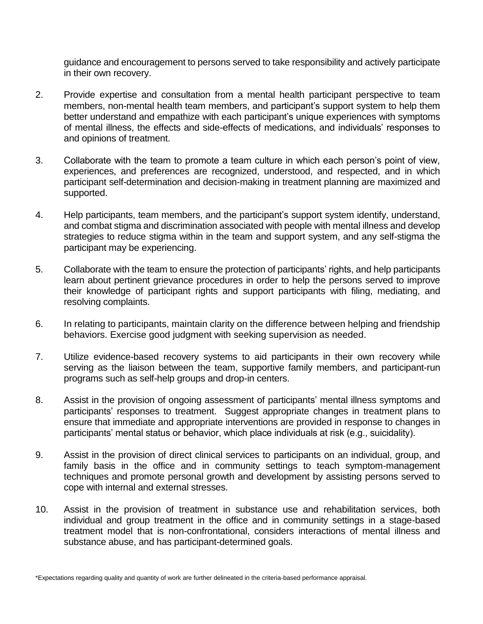guidance and encouragement to persons served to take responsibility and actively participate in their own recovery.

- 2. Provide expertise and consultation from a mental health participant perspective to team members, non-mental health team members, and participant's support system to help them better understand and empathize with each participant's unique experiences with symptoms of mental illness, the effects and side-effects of medications, and individuals' responses to and opinions of treatment.
- 3. Collaborate with the team to promote a team culture in which each person's point of view, experiences, and preferences are recognized, understood, and respected, and in which participant self-determination and decision-making in treatment planning are maximized and supported.
- 4. Help participants, team members, and the participant's support system identify, understand, and combat stigma and discrimination associated with people with mental illness and develop strategies to reduce stigma within in the team and support system, and any self-stigma the participant may be experiencing.
- 5. Collaborate with the team to ensure the protection of participants' rights, and help participants learn about pertinent grievance procedures in order to help the persons served to improve their knowledge of participant rights and support participants with filing, mediating, and resolving complaints.
- 6. In relating to participants, maintain clarity on the difference between helping and friendship behaviors. Exercise good judgment with seeking supervision as needed.
- 7. Utilize evidence-based recovery systems to aid participants in their own recovery while serving as the liaison between the team, supportive family members, and participant-run programs such as self-help groups and drop-in centers.
- 8. Assist in the provision of ongoing assessment of participants' mental illness symptoms and participants' responses to treatment. Suggest appropriate changes in treatment plans to ensure that immediate and appropriate interventions are provided in response to changes in participants' mental status or behavior, which place individuals at risk (e.g., suicidality).
- 9. Assist in the provision of direct clinical services to participants on an individual, group, and family basis in the office and in community settings to teach symptom-management techniques and promote personal growth and development by assisting persons served to cope with internal and external stresses.
- 10. Assist in the provision of treatment in substance use and rehabilitation services, both individual and group treatment in the office and in community settings in a stage-based treatment model that is non-confrontational, considers interactions of mental illness and substance abuse, and has participant-determined goals.

<sup>\*</sup>Expectations regarding quality and quantity of work are further delineated in the criteria-based performance appraisal.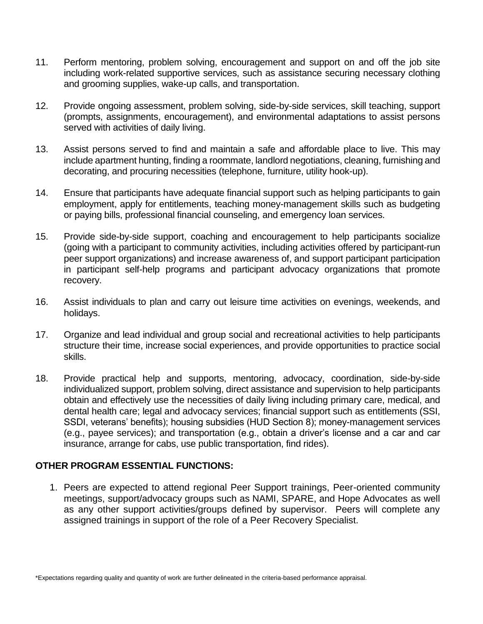- 11. Perform mentoring, problem solving, encouragement and support on and off the job site including work-related supportive services, such as assistance securing necessary clothing and grooming supplies, wake-up calls, and transportation.
- 12. Provide ongoing assessment, problem solving, side-by-side services, skill teaching, support (prompts, assignments, encouragement), and environmental adaptations to assist persons served with activities of daily living.
- 13. Assist persons served to find and maintain a safe and affordable place to live. This may include apartment hunting, finding a roommate, landlord negotiations, cleaning, furnishing and decorating, and procuring necessities (telephone, furniture, utility hook-up).
- 14. Ensure that participants have adequate financial support such as helping participants to gain employment, apply for entitlements, teaching money-management skills such as budgeting or paying bills, professional financial counseling, and emergency loan services.
- 15. Provide side-by-side support, coaching and encouragement to help participants socialize (going with a participant to community activities, including activities offered by participant-run peer support organizations) and increase awareness of, and support participant participation in participant self-help programs and participant advocacy organizations that promote recovery.
- 16. Assist individuals to plan and carry out leisure time activities on evenings, weekends, and holidays.
- 17. Organize and lead individual and group social and recreational activities to help participants structure their time, increase social experiences, and provide opportunities to practice social skills.
- 18. Provide practical help and supports, mentoring, advocacy, coordination, side-by-side individualized support, problem solving, direct assistance and supervision to help participants obtain and effectively use the necessities of daily living including primary care, medical, and dental health care; legal and advocacy services; financial support such as entitlements (SSI, SSDI, veterans' benefits); housing subsidies (HUD Section 8); money-management services (e.g., payee services); and transportation (e.g., obtain a driver's license and a car and car insurance, arrange for cabs, use public transportation, find rides).

## **OTHER PROGRAM ESSENTIAL FUNCTIONS:**

1. Peers are expected to attend regional Peer Support trainings, Peer-oriented community meetings, support/advocacy groups such as NAMI, SPARE, and Hope Advocates as well as any other support activities/groups defined by supervisor. Peers will complete any assigned trainings in support of the role of a Peer Recovery Specialist.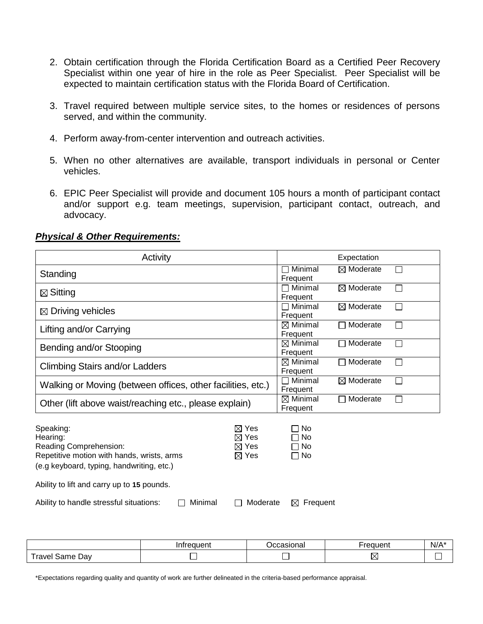- 2. Obtain certification through the Florida Certification Board as a Certified Peer Recovery Specialist within one year of hire in the role as Peer Specialist. Peer Specialist will be expected to maintain certification status with the Florida Board of Certification.
- 3. Travel required between multiple service sites, to the homes or residences of persons served, and within the community.
- 4. Perform away-from-center intervention and outreach activities.
- 5. When no other alternatives are available, transport individuals in personal or Center vehicles.
- 6. EPIC Peer Specialist will provide and document 105 hours a month of participant contact and/or support e.g. team meetings, supervision, participant contact, outreach, and advocacy.

## *Physical & Other Requirements:*

| Activity                                                                                                                                   | Expectation                                                              |                                 |                      |   |
|--------------------------------------------------------------------------------------------------------------------------------------------|--------------------------------------------------------------------------|---------------------------------|----------------------|---|
| Standing                                                                                                                                   |                                                                          | 7 Minimal<br>Frequent           | $\boxtimes$ Moderate | П |
| $\boxtimes$ Sitting                                                                                                                        | $\sqcap$ Minimal<br>Frequent                                             | $\boxtimes$ Moderate            | $\perp$              |   |
| $\boxtimes$ Driving vehicles                                                                                                               | $\Box$ Minimal<br>Frequent                                               | $\boxtimes$ Moderate            | $\mathbf{I}$         |   |
| Lifting and/or Carrying                                                                                                                    | $\boxtimes$ Minimal<br>Frequent                                          | Moderate<br>$\sim$              | ΙI                   |   |
| Bending and/or Stooping                                                                                                                    | $\boxtimes$ Minimal<br>Frequent                                          | Moderate                        | П                    |   |
| <b>Climbing Stairs and/or Ladders</b>                                                                                                      | $\boxtimes$ Minimal<br>Frequent                                          | Moderate                        | П                    |   |
| Walking or Moving (between offices, other facilities, etc.)                                                                                | $\Box$ Minimal<br>Frequent                                               | $\boxtimes$ Moderate            | $\mathsf{L}$         |   |
| Other (lift above waist/reaching etc., please explain)                                                                                     |                                                                          | $\boxtimes$ Minimal<br>Frequent | Moderate<br>$\sim$   | П |
| Speaking:<br>Hearing:<br>Reading Comprehension:<br>Repetitive motion with hands, wrists, arms<br>(e.g keyboard, typing, handwriting, etc.) | $\boxtimes$ Yes<br>$\boxtimes$ Yes<br>$\boxtimes$ Yes<br>$\boxtimes$ Yes | No<br>No<br>No<br>No            |                      |   |
| Ability to lift and carry up to 15 pounds.                                                                                                 |                                                                          |                                 |                      |   |
| Minimal<br>Ability to handle stressful situations:                                                                                         | Moderate<br>$\mathbf{I}$                                                 | Frequent<br>⊠                   |                      |   |

|                                                  | eauent | Ccasional | <b><i><u><u>PANILAN</u></u></i></b><br>четь | N/A |
|--------------------------------------------------|--------|-----------|---------------------------------------------|-----|
| $\overline{\phantom{a}}$<br>ravel<br>Dav<br>Same |        |           |                                             |     |

\*Expectations regarding quality and quantity of work are further delineated in the criteria-based performance appraisal.